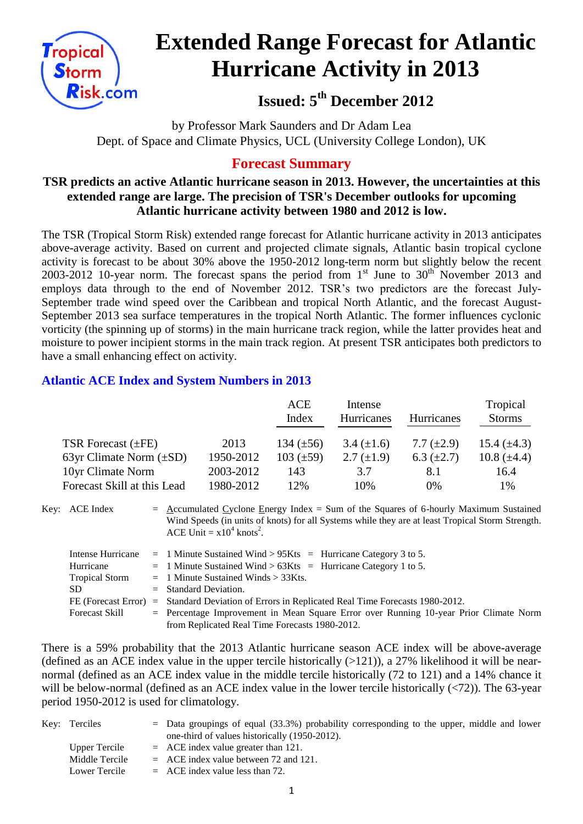

# **Extended Range Forecast for Atlantic Hurricane Activity in 2013**

**Issued: 5th December 2012**

by Professor Mark Saunders and Dr Adam Lea Dept. of Space and Climate Physics, UCL (University College London), UK

## **Forecast Summary**

### **TSR predicts an active Atlantic hurricane season in 2013. However, the uncertainties at this extended range are large. The precision of TSR's December outlooks for upcoming Atlantic hurricane activity between 1980 and 2012 is low.**

The TSR (Tropical Storm Risk) extended range forecast for Atlantic hurricane activity in 2013 anticipates above-average activity. Based on current and projected climate signals, Atlantic basin tropical cyclone activity is forecast to be about 30% above the 1950-2012 long-term norm but slightly below the recent 2003-2012 10-year norm. The forecast spans the period from  $1<sup>st</sup>$  June to  $30<sup>th</sup>$  November 2013 and employs data through to the end of November 2012. TSR's two predictors are the forecast July-September trade wind speed over the Caribbean and tropical North Atlantic, and the forecast August-September 2013 sea surface temperatures in the tropical North Atlantic. The former influences cyclonic vorticity (the spinning up of storms) in the main hurricane track region, while the latter provides heat and moisture to power incipient storms in the main track region. At present TSR anticipates both predictors to have a small enhancing effect on activity.

## **Atlantic ACE Index and System Numbers in 2013**

|                              |           | <b>ACE</b><br>Index | Intense<br><b>Hurricanes</b> | <b>Hurricanes</b> | Tropical<br><b>Storms</b> |
|------------------------------|-----------|---------------------|------------------------------|-------------------|---------------------------|
| TSR Forecast $(\pm FE)$      | 2013      | 134 $(\pm 56)$      | $3.4 \ (\pm 1.6)$            | 7.7 $(\pm 2.9)$   | 15.4 $(\pm 4.3)$          |
| 63yr Climate Norm $(\pm SD)$ | 1950-2012 | $103 (\pm 59)$      | 2.7 $(\pm 1.9)$              | 6.3 $(\pm 2.7)$   | 10.8 $(\pm 4.4)$          |
| 10yr Climate Norm            | 2003-2012 | 143                 | 3.7                          | 8.1               | 16.4                      |
| Forecast Skill at this Lead  | 1980-2012 | 12%                 | 10%                          | $0\%$             | 1%                        |

Key: ACE Index  $=$  Accumulated Cyclone Energy Index = Sum of the Squares of 6-hourly Maximum Sustained Wind Speeds (in units of knots) for all Systems while they are at least Tropical Storm Strength. ACE Unit =  $x10^4$  knots<sup>2</sup>.

| Intense Hurricane     | $=$ 1 Minute Sustained Wind > 95Kts $=$ Hurricane Category 3 to 5.                      |
|-----------------------|-----------------------------------------------------------------------------------------|
| Hurricane             | $=$ 1 Minute Sustained Wind > 63Kts $=$ Hurricane Category 1 to 5.                      |
| <b>Tropical Storm</b> | $=$ 1 Minute Sustained Winds $>$ 33Kts.                                                 |
| SD.                   | $=$ Standard Deviation.                                                                 |
| FE (Forecast Error)   | $=$ Standard Deviation of Errors in Replicated Real Time Forecasts 1980-2012.           |
| Forecast Skill        | $=$ Percentage Improvement in Mean Square Error over Running 10-year Prior Climate Norm |
|                       | from Replicated Real Time Forecasts 1980-2012.                                          |

There is a 59% probability that the 2013 Atlantic hurricane season ACE index will be above-average (defined as an ACE index value in the upper tercile historically  $(>121)$ ), a 27% likelihood it will be nearnormal (defined as an ACE index value in the middle tercile historically (72 to 121) and a 14% chance it will be below-normal (defined as an ACE index value in the lower tercile historically  $(\langle 72 \rangle)$ ). The 63-year period 1950-2012 is used for climatology.

| Key: Terciles  | $=$ Data groupings of equal (33.3%) probability corresponding to the upper, middle and lower |
|----------------|----------------------------------------------------------------------------------------------|
|                | one-third of values historically (1950-2012).                                                |
| Upper Tercile  | $=$ ACE index value greater than 121.                                                        |
| Middle Tercile | $=$ ACE index value between 72 and 121.                                                      |
| Lower Tercile  | $=$ ACE index value less than 72.                                                            |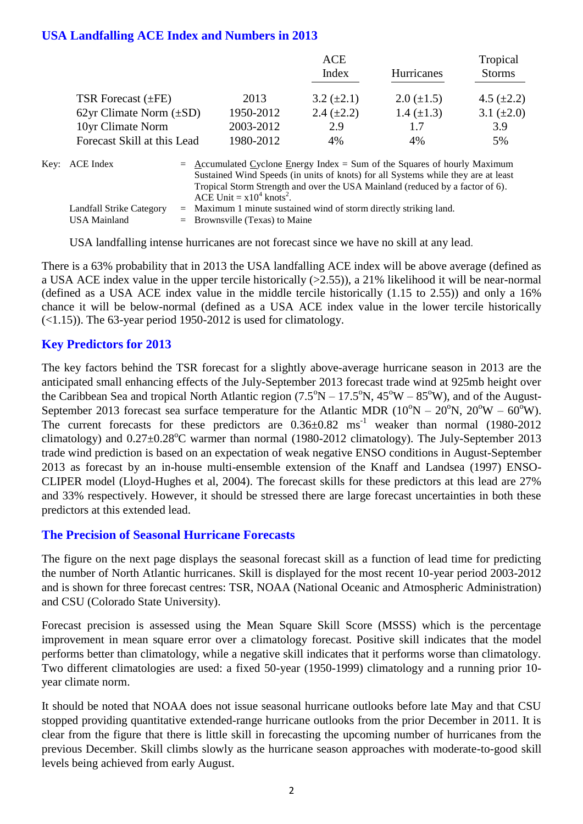### **USA Landfalling ACE Index and Numbers in 2013**

|                              |           | ACE               |                   | Tropical        |
|------------------------------|-----------|-------------------|-------------------|-----------------|
|                              |           | Index             | Hurricanes        | <b>Storms</b>   |
| TSR Forecast $(\pm FE)$      | 2013      | $3.2 \ (\pm 2.1)$ | $2.0 \ (\pm 1.5)$ | 4.5 $(\pm 2.2)$ |
| 62yr Climate Norm $(\pm SD)$ | 1950-2012 | 2.4 $(\pm 2.2)$   | 1.4 $(\pm 1.3)$   | 3.1 $(\pm 2.0)$ |
| 10yr Climate Norm            | 2003-2012 | 2.9               | 1.7               | 3.9             |
| Forecast Skill at this Lead  | 1980-2012 | 4%                | 4%                | 5%              |
|                              |           |                   |                   |                 |

| Key: ACE Index           | $=\Delta$ ccumulated Cyclone Energy Index = Sum of the Squares of hourly Maximum  |
|--------------------------|-----------------------------------------------------------------------------------|
|                          | Sustained Wind Speeds (in units of knots) for all Systems while they are at least |
|                          | Tropical Storm Strength and over the USA Mainland (reduced by a factor of 6).     |
|                          | ACE Unit = $x10^4$ knots <sup>2</sup> .                                           |
| Landfall Strike Category | $=$ Maximum 1 minute sustained wind of storm directly striking land.              |
| USA Mainland             | $=$ Brownsville (Texas) to Maine                                                  |

USA landfalling intense hurricanes are not forecast since we have no skill at any lead.

There is a 63% probability that in 2013 the USA landfalling ACE index will be above average (defined as a USA ACE index value in the upper tercile historically (>2.55)), a 21% likelihood it will be near-normal (defined as a USA ACE index value in the middle tercile historically (1.15 to 2.55)) and only a 16% chance it will be below-normal (defined as a USA ACE index value in the lower tercile historically (<1.15)). The 63-year period 1950-2012 is used for climatology.

### **Key Predictors for 2013**

The key factors behind the TSR forecast for a slightly above-average hurricane season in 2013 are the anticipated small enhancing effects of the July-September 2013 forecast trade wind at 925mb height over the Caribbean Sea and tropical North Atlantic region  $(7.5^{\circ}N - 17.5^{\circ}N, 45^{\circ}W - 85^{\circ}W)$ , and of the August-September 2013 forecast sea surface temperature for the Atlantic MDR  $(10^{\circ}N - 20^{\circ}N, 20^{\circ}W - 60^{\circ}W)$ . The current forecasts for these predictors are  $0.36\pm0.82$  ms<sup>-1</sup> weaker than normal (1980-2012) climatology) and  $0.27 \pm 0.28^{\circ}$ C warmer than normal (1980-2012 climatology). The July-September 2013 trade wind prediction is based on an expectation of weak negative ENSO conditions in August-September 2013 as forecast by an in-house multi-ensemble extension of the Knaff and Landsea (1997) ENSO-CLIPER model (Lloyd-Hughes et al, 2004). The forecast skills for these predictors at this lead are 27% and 33% respectively. However, it should be stressed there are large forecast uncertainties in both these predictors at this extended lead.

### **The Precision of Seasonal Hurricane Forecasts**

The figure on the next page displays the seasonal forecast skill as a function of lead time for predicting the number of North Atlantic hurricanes. Skill is displayed for the most recent 10-year period 2003-2012 and is shown for three forecast centres: TSR, NOAA (National Oceanic and Atmospheric Administration) and CSU (Colorado State University).

Forecast precision is assessed using the Mean Square Skill Score (MSSS) which is the percentage improvement in mean square error over a climatology forecast. Positive skill indicates that the model performs better than climatology, while a negative skill indicates that it performs worse than climatology. Two different climatologies are used: a fixed 50-year (1950-1999) climatology and a running prior 10 year climate norm.

It should be noted that NOAA does not issue seasonal hurricane outlooks before late May and that CSU stopped providing quantitative extended-range hurricane outlooks from the prior December in 2011. It is clear from the figure that there is little skill in forecasting the upcoming number of hurricanes from the previous December. Skill climbs slowly as the hurricane season approaches with moderate-to-good skill levels being achieved from early August.